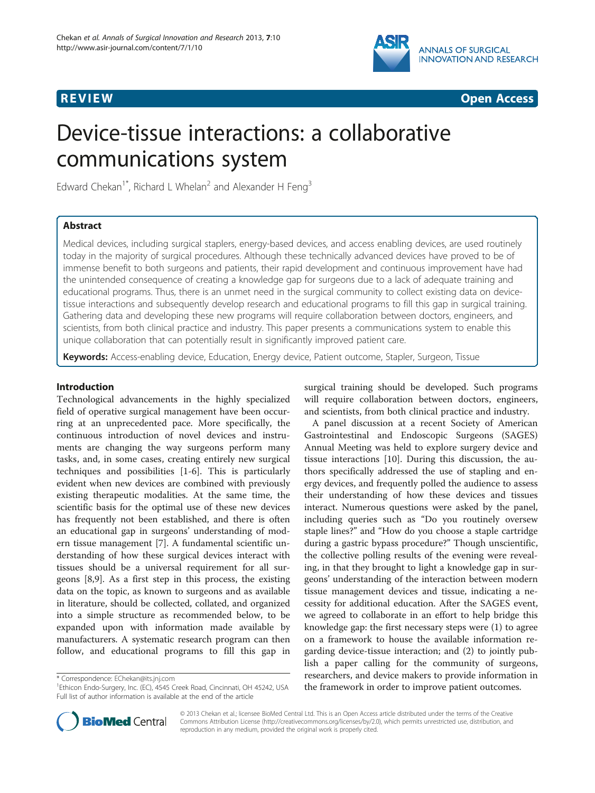



# Device-tissue interactions: a collaborative communications system

Edward Chekan<sup>1\*</sup>, Richard L Whelan<sup>2</sup> and Alexander H Feng<sup>3</sup>

# Abstract

Medical devices, including surgical staplers, energy-based devices, and access enabling devices, are used routinely today in the majority of surgical procedures. Although these technically advanced devices have proved to be of immense benefit to both surgeons and patients, their rapid development and continuous improvement have had the unintended consequence of creating a knowledge gap for surgeons due to a lack of adequate training and educational programs. Thus, there is an unmet need in the surgical community to collect existing data on devicetissue interactions and subsequently develop research and educational programs to fill this gap in surgical training. Gathering data and developing these new programs will require collaboration between doctors, engineers, and scientists, from both clinical practice and industry. This paper presents a communications system to enable this unique collaboration that can potentially result in significantly improved patient care.

Keywords: Access-enabling device, Education, Energy device, Patient outcome, Stapler, Surgeon, Tissue

# Introduction

Technological advancements in the highly specialized field of operative surgical management have been occurring at an unprecedented pace. More specifically, the continuous introduction of novel devices and instruments are changing the way surgeons perform many tasks, and, in some cases, creating entirely new surgical techniques and possibilities [[1-6\]](#page-2-0). This is particularly evident when new devices are combined with previously existing therapeutic modalities. At the same time, the scientific basis for the optimal use of these new devices has frequently not been established, and there is often an educational gap in surgeons' understanding of modern tissue management [[7\]](#page-2-0). A fundamental scientific understanding of how these surgical devices interact with tissues should be a universal requirement for all surgeons [\[8](#page-2-0),[9](#page-2-0)]. As a first step in this process, the existing data on the topic, as known to surgeons and as available in literature, should be collected, collated, and organized into a simple structure as recommended below, to be expanded upon with information made available by manufacturers. A systematic research program can then follow, and educational programs to fill this gap in



A panel discussion at a recent Society of American Gastrointestinal and Endoscopic Surgeons (SAGES) Annual Meeting was held to explore surgery device and tissue interactions [[10\]](#page-2-0). During this discussion, the authors specifically addressed the use of stapling and energy devices, and frequently polled the audience to assess their understanding of how these devices and tissues interact. Numerous questions were asked by the panel, including queries such as "Do you routinely oversew staple lines?" and "How do you choose a staple cartridge during a gastric bypass procedure?" Though unscientific, the collective polling results of the evening were revealing, in that they brought to light a knowledge gap in surgeons' understanding of the interaction between modern tissue management devices and tissue, indicating a necessity for additional education. After the SAGES event, we agreed to collaborate in an effort to help bridge this knowledge gap: the first necessary steps were (1) to agree on a framework to house the available information regarding device-tissue interaction; and (2) to jointly publish a paper calling for the community of surgeons, researchers, and device makers to provide information in the framework in order to improve patient outcomes.



© 2013 Chekan et al.; licensee BioMed Central Ltd. This is an Open Access article distributed under the terms of the Creative Commons Attribution License [\(http://creativecommons.org/licenses/by/2.0\)](http://creativecommons.org/licenses/by/2.0), which permits unrestricted use, distribution, and reproduction in any medium, provided the original work is properly cited.

<sup>\*</sup> Correspondence: [EChekan@its.jnj.com](mailto:EChekan@its.jnj.com) <sup>1</sup>

<sup>&</sup>lt;sup>1</sup>Ethicon Endo-Surgery, Inc. (EC), 4545 Creek Road, Cincinnati, OH 45242, USA Full list of author information is available at the end of the article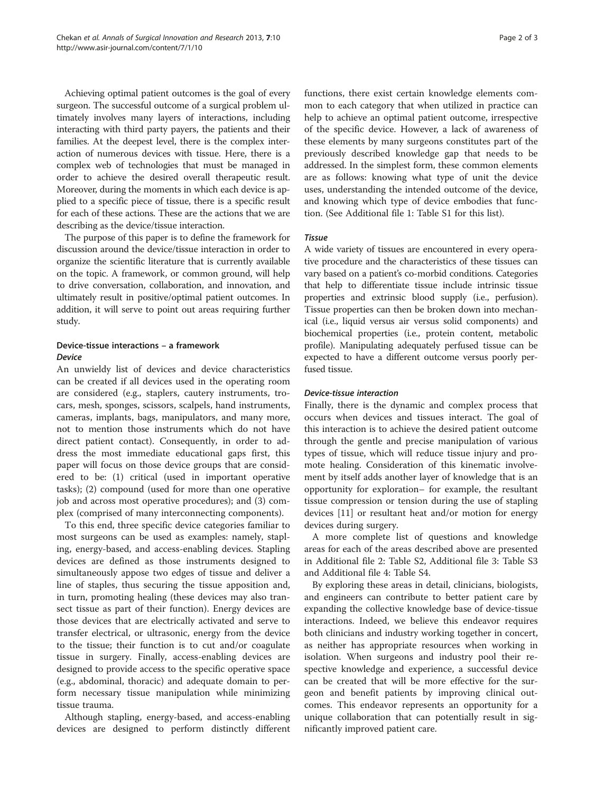Achieving optimal patient outcomes is the goal of every surgeon. The successful outcome of a surgical problem ultimately involves many layers of interactions, including interacting with third party payers, the patients and their families. At the deepest level, there is the complex interaction of numerous devices with tissue. Here, there is a complex web of technologies that must be managed in order to achieve the desired overall therapeutic result. Moreover, during the moments in which each device is applied to a specific piece of tissue, there is a specific result for each of these actions. These are the actions that we are describing as the device/tissue interaction.

The purpose of this paper is to define the framework for discussion around the device/tissue interaction in order to organize the scientific literature that is currently available on the topic. A framework, or common ground, will help to drive conversation, collaboration, and innovation, and ultimately result in positive/optimal patient outcomes. In addition, it will serve to point out areas requiring further study.

# Device-tissue interactions – a framework Device

An unwieldy list of devices and device characteristics can be created if all devices used in the operating room are considered (e.g., staplers, cautery instruments, trocars, mesh, sponges, scissors, scalpels, hand instruments, cameras, implants, bags, manipulators, and many more, not to mention those instruments which do not have direct patient contact). Consequently, in order to address the most immediate educational gaps first, this paper will focus on those device groups that are considered to be: (1) critical (used in important operative tasks); (2) compound (used for more than one operative job and across most operative procedures); and (3) complex (comprised of many interconnecting components).

To this end, three specific device categories familiar to most surgeons can be used as examples: namely, stapling, energy-based, and access-enabling devices. Stapling devices are defined as those instruments designed to simultaneously appose two edges of tissue and deliver a line of staples, thus securing the tissue apposition and, in turn, promoting healing (these devices may also transect tissue as part of their function). Energy devices are those devices that are electrically activated and serve to transfer electrical, or ultrasonic, energy from the device to the tissue; their function is to cut and/or coagulate tissue in surgery. Finally, access-enabling devices are designed to provide access to the specific operative space (e.g., abdominal, thoracic) and adequate domain to perform necessary tissue manipulation while minimizing tissue trauma.

Although stapling, energy-based, and access-enabling devices are designed to perform distinctly different functions, there exist certain knowledge elements common to each category that when utilized in practice can help to achieve an optimal patient outcome, irrespective of the specific device. However, a lack of awareness of these elements by many surgeons constitutes part of the previously described knowledge gap that needs to be addressed. In the simplest form, these common elements are as follows: knowing what type of unit the device uses, understanding the intended outcome of the device, and knowing which type of device embodies that function. (See Additional file [1](#page-2-0): Table S1 for this list).

# Tissue

A wide variety of tissues are encountered in every operative procedure and the characteristics of these tissues can vary based on a patient's co-morbid conditions. Categories that help to differentiate tissue include intrinsic tissue properties and extrinsic blood supply (i.e., perfusion). Tissue properties can then be broken down into mechanical (i.e., liquid versus air versus solid components) and biochemical properties (i.e., protein content, metabolic profile). Manipulating adequately perfused tissue can be expected to have a different outcome versus poorly perfused tissue.

## Device-tissue interaction

Finally, there is the dynamic and complex process that occurs when devices and tissues interact. The goal of this interaction is to achieve the desired patient outcome through the gentle and precise manipulation of various types of tissue, which will reduce tissue injury and promote healing. Consideration of this kinematic involvement by itself adds another layer of knowledge that is an opportunity for exploration– for example, the resultant tissue compression or tension during the use of stapling devices [\[11\]](#page-2-0) or resultant heat and/or motion for energy devices during surgery.

A more complete list of questions and knowledge areas for each of the areas described above are presented in Additional file [2:](#page-2-0) Table S2, Additional file [3:](#page-2-0) Table S3 and Additional file [4:](#page-2-0) Table S4.

By exploring these areas in detail, clinicians, biologists, and engineers can contribute to better patient care by expanding the collective knowledge base of device-tissue interactions. Indeed, we believe this endeavor requires both clinicians and industry working together in concert, as neither has appropriate resources when working in isolation. When surgeons and industry pool their respective knowledge and experience, a successful device can be created that will be more effective for the surgeon and benefit patients by improving clinical outcomes. This endeavor represents an opportunity for a unique collaboration that can potentially result in significantly improved patient care.